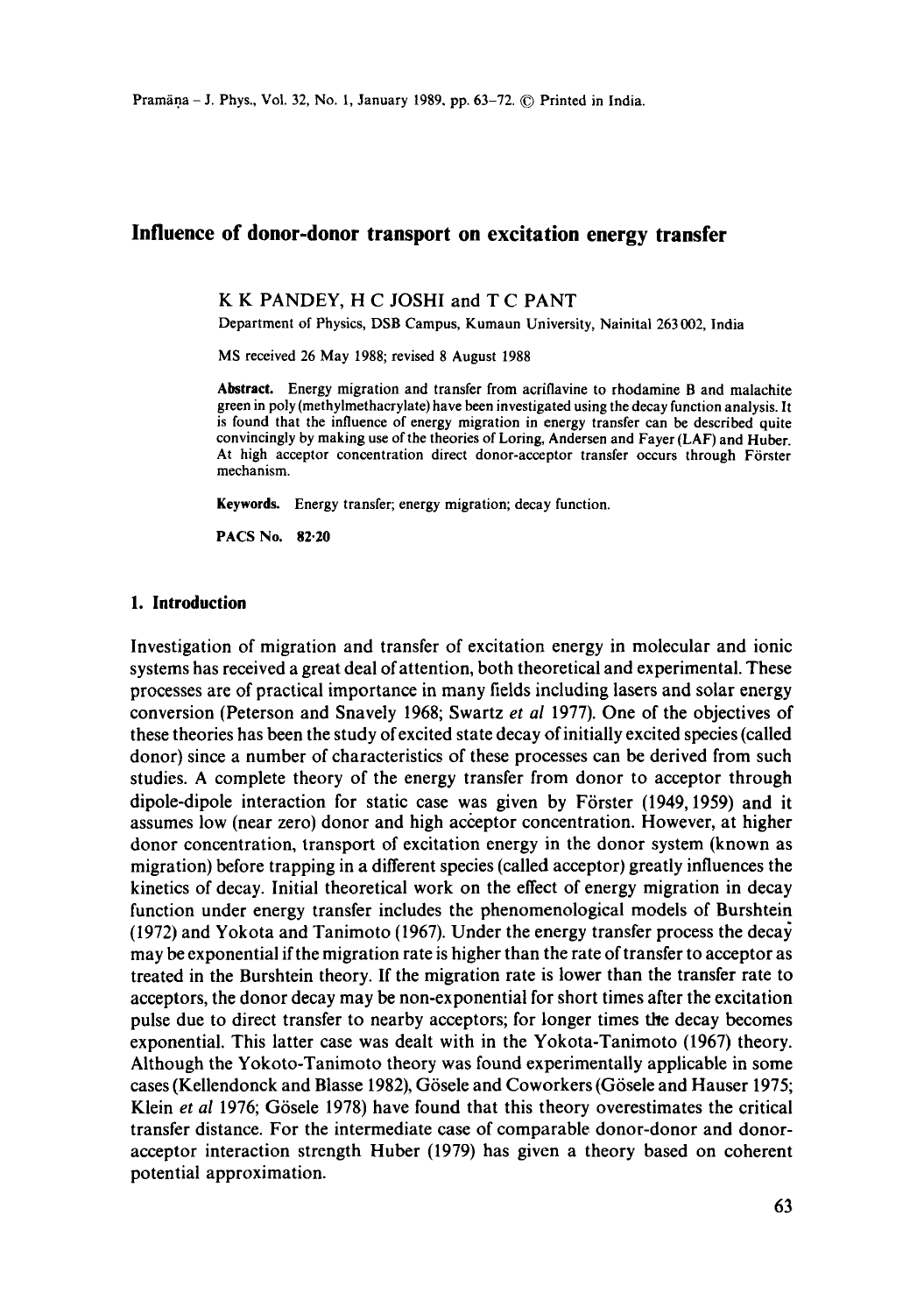# **Influence of donor-donor transport on excitation energy transfer**

**K K PANDEY, H C** JOSHI and **T C** PANT

Department of Physics, DSB Campus, Kumaun University, Nainital 263 002, India

MS received 26 May 1988; revised 8 August 1988

**Abstract.** Energy migration and transfer from acriflavine to rhodamine B and malachite green in poly (methylmethacrylate) have been investigated using the decay function analysis. It is found that the influence of energy migration in energy transfer can be described quite convincingly by making use of the theories of Loring, Andersen and Fayer (LAF) and Huber. At high acceptor concentration direct donor-acceptor transfer occurs through Förster mechanism.

**Keywords.** Energy transfer; energy migration; decay function.

PACS No. 82.20

## **1. Introduction**

Investigation of migration and transfer of excitation energy in molecular and ionic systems has received a great deal of attention, both theoretical and experimental. These processes are of practical importance in many fields including lasers and solar energy conversion (Peterson and Snavely 1968; Swartz *et al* 1977). One of the objectives of these theories has been the study of excited state decay of initially excited species (called donor) since a number of characteristics of these processes can be derived from such studies. A complete theory of the energy transfer from donor to acceptor through dipole-dipole interaction for static case was given by Förster (1949, 1959) and it assumes low (near zero) donor and high acceptor concentration. However, at higher donor concentration, transport of excitation energy in the donor system (known as migration) before trapping in a different species (called acceptor) greatly influences the kinetics of decay. Initial theoretical work on the effect of energy migration in decay function under energy transfer includes the phenomenologieal models of Burshtein (1972) and Yokota and Tanimoto (1967). Under the energy transfer process the decay may be exponential if the migration rate is higher than the rate of transfer to acceptor as treated in the Burshtein theory. If the migration rate is lower than the transfer rate to acceptors, the donor decay may be non-exponential for short times after the excitation pulse due to direct transfer to nearby acceptors; for longer times the decay becomes exponential. This latter case was dealt with in the Yokota-Tanimoto (1967) theory. Although the Yokoto-Tanimoto theory was found experimentally applicable in some cases (Kellendonck and Blasse 1982), Gösele and Coworkers (Gösele and Hauser 1975; Klein *et al* 1976; Gösele 1978) have found that this theory overestimates the critical transfer distance. For the intermediate case of comparable donor-donor and donoracceptor interaction strength Huber (1979) has given a theory based on coherent potential approximation.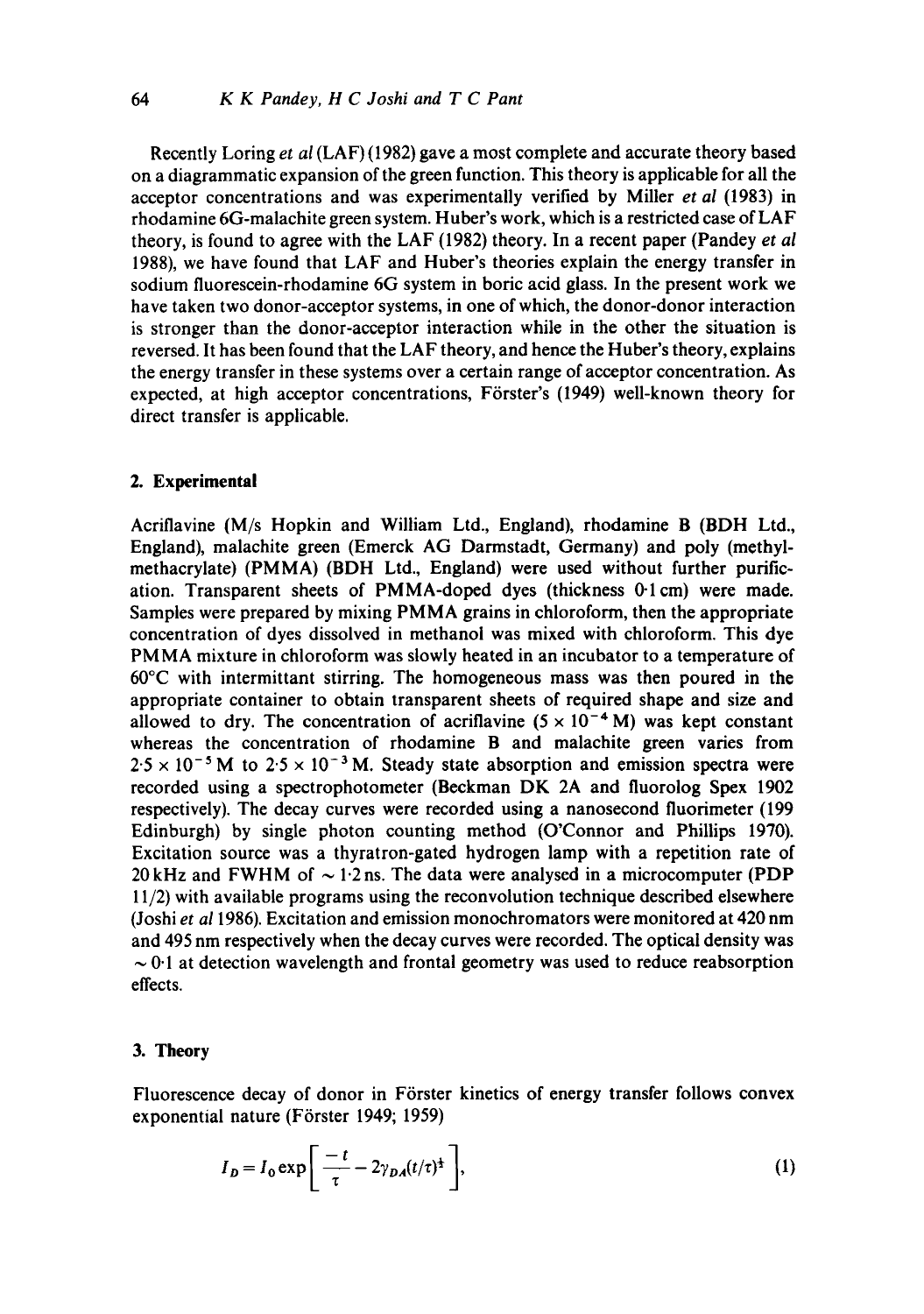Recently Loring *et al* (LAF) (1982) gave a most complete and accurate theory based on a diagrammatic expansion of the green function. This theory is applicable for all the acceptor concentrations and was experimentally verified by Miller *et al* (1983) in rhodamine 6G-malachite green system. Huber's work, which is a restricted case of LAF theory, is found to agree with the LAF (1982) theory. In a recent paper (Pandey *et al*  1988), we have found that LAF and Huber's theories explain the energy transfer in sodium fluorescein-rhodamine 6G system in boric acid glass. In the present work we have taken two donor-acceptor systems, in one of which, the donor-donor interaction is stronger than the donor-acceptor interaction while in the other the situation is reversed. It has been found that the LAF theory, and hence the Huber's theory, explains the energy transfer in these systems over a certain range of acceptor concentration. As expected, at high acceptor concentrations, Förster's (1949) well-known theory for direct transfer is applicable.

### **2. Experimental**

Acriflavine (M/s Hopkin and William Ltd., England), rhodamine B (BDH Ltd., England), malachite green (Emerck AG Darmstadt, Germany) and poly (methylmethacrylate) (PMMA) (BDH Ltd., England) were used without further purification. Transparent sheets of PMMA-doped dyes (thickness 0-1cm) were made. Samples were prepared by mixing PMMA grains in chloroform, then the appropriate concentration of dyes dissolved in methanol was mixed with chloroform. This dye PMMA mixture in chloroform was slowly heated in an incubator to a temperature of 60°C with intermittant stirring. The homogeneous mass was then poured in the appropriate container to obtain transparent sheets of required shape and size and allowed to dry. The concentration of acriflavine  $(5 \times 10^{-4} \text{ M})$  was kept constant whereas the concentration of rhodamine B and malachite green varies from  $2.5 \times 10^{-5}$  M to  $2.5 \times 10^{-3}$  M. Steady state absorption and emission spectra were recorded using a spectrophotometer (Beckman DK 2A and fluoroiog Spex 1902 respectively). The decay curves were recorded using a nanosecond fluorimeter (199 Edinburgh) by single photon counting method (O'Connor and Phillips 1970). Excitation source was a thyratron-gated hydrogen lamp with a repetition rate of 20 kHz and FWHM of  $\sim$  1.2 ns. The data were analysed in a microcomputer (PDP 11/2) with available programs using the reconvolution technique described elsewhere (Joshi *et a11986).* Excitation and emission monochromators were monitored at 420 nm and 495 nm respectively when the decay curves were recorded. The optical density was  $\sim$  0.1 at detection wavelength and frontal geometry was used to reduce reabsorption effects.

### 3. **Theory**

Fluorescence decay of donor in Förster kinetics of energy transfer follows convex exponential nature (Förster 1949; 1959)

$$
I_D = I_0 \exp\left[\frac{-t}{\tau} - 2\gamma_{DA}(t/\tau)^{\frac{1}{2}}\right],\tag{1}
$$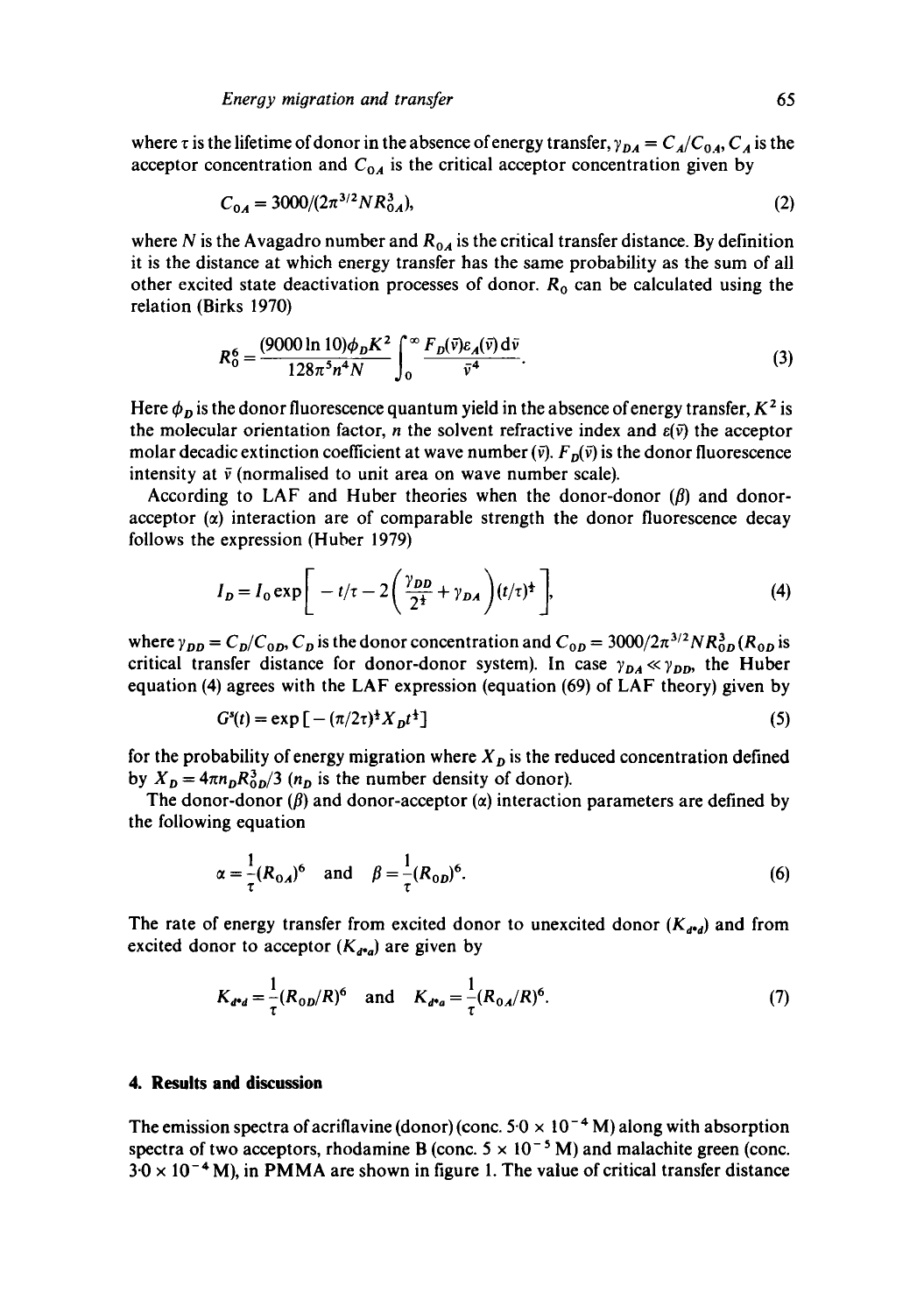where  $\tau$  is the lifetime of donor in the absence of energy transfer,  $\gamma_{DA} = C_A/C_{0A}$ ,  $C_A$  is the acceptor concentration and  $C_{0A}$  is the critical acceptor concentration given by

$$
C_{0A} = 3000/(2\pi^{3/2}NR_{0A}^3),\tag{2}
$$

where N is the Avagadro number and  $R_{0A}$  is the critical transfer distance. By definition it is the distance at which energy transfer has the same probability as the sum of all other excited state deactivation processes of donor.  $R_0$  can be calculated using the relation (Birks 1970)

$$
R_0^6 = \frac{(9000 \ln 10) \phi_D K^2}{128 \pi^5 n^4 N} \int_0^\infty \frac{F_D(\bar{v}) \varepsilon_A(\bar{v}) d\bar{v}}{\bar{v}^4}.
$$
 (3)

Here  $\phi_p$  is the donor fluorescence quantum yield in the absence of energy transfer,  $K^2$  is the molecular orientation factor, *n* the solvent refractive index and  $\varepsilon(\bar{v})$  the acceptor molar decadic extinction coefficient at wave number  $(\bar{v})$ .  $F_p(\bar{v})$  is the donor fluorescence intensity at  $\bar{v}$  (normalised to unit area on wave number scale).

According to LAF and Huber theories when the donor-donor  $(\beta)$  and donoracceptor  $(\alpha)$  interaction are of comparable strength the donor fluorescence decay follows the expression (Huber 1979)

$$
I_D = I_0 \exp\bigg[-t/\tau - 2\bigg(\frac{\gamma_{DD}}{2^{\frac{1}{2}}} + \gamma_{DA}\bigg)(t/\tau)^{\frac{1}{2}}\bigg],\tag{4}
$$

where  $\gamma_{DD} = C_D/C_{0D}$ ,  $C_D$  is the donor concentration and  $C_{0D} = 3000/2\pi^{3/2}NR_{0D}^3$  ( $R_{0D}$  is critical transfer distance for donor-donor system). In case  $\gamma_{DA} \ll \gamma_{DD}$ , the Huber equation (4) agrees with the LAF expression (equation (69) of LAF theory) given by

$$
G^{s}(t) = \exp\left[-\left(\frac{\pi}{2\tau}\right)^{\frac{1}{2}}X_{\mathit{D}}t^{\frac{1}{2}}\right]
$$
\n(5)

for the probability of energy migration where  $X<sub>D</sub>$  is the reduced concentration defined by  $X_p = 4\pi n_p R_0^3 / 3$  ( $n_p$  is the number density of donor).

The donor-donor ( $\beta$ ) and donor-acceptor ( $\alpha$ ) interaction parameters are defined by the following equation

$$
\alpha = \frac{1}{\tau} (R_{0A})^6
$$
 and  $\beta = \frac{1}{\tau} (R_{0D})^6$ . (6)

The rate of energy transfer from excited donor to unexcited donor  $(K_{d^*d})$  and from excited donor to acceptor  $(K_{d^*q})$  are given by

$$
K_{d^*d} = \frac{1}{\tau} (R_{0D}/R)^6 \quad \text{and} \quad K_{d^*a} = \frac{1}{\tau} (R_{0A}/R)^6. \tag{7}
$$

#### **4. Results and discussion**

The emission spectra of acriflavine (donor) (conc.  $50 \times 10^{-4}$  M) along with absorption spectra of two acceptors, rhodamine B (conc.  $5 \times 10^{-5}$  M) and malachite green (conc.  $3.0 \times 10^{-4}$  M), in PMMA are shown in figure 1. The value of critical transfer distance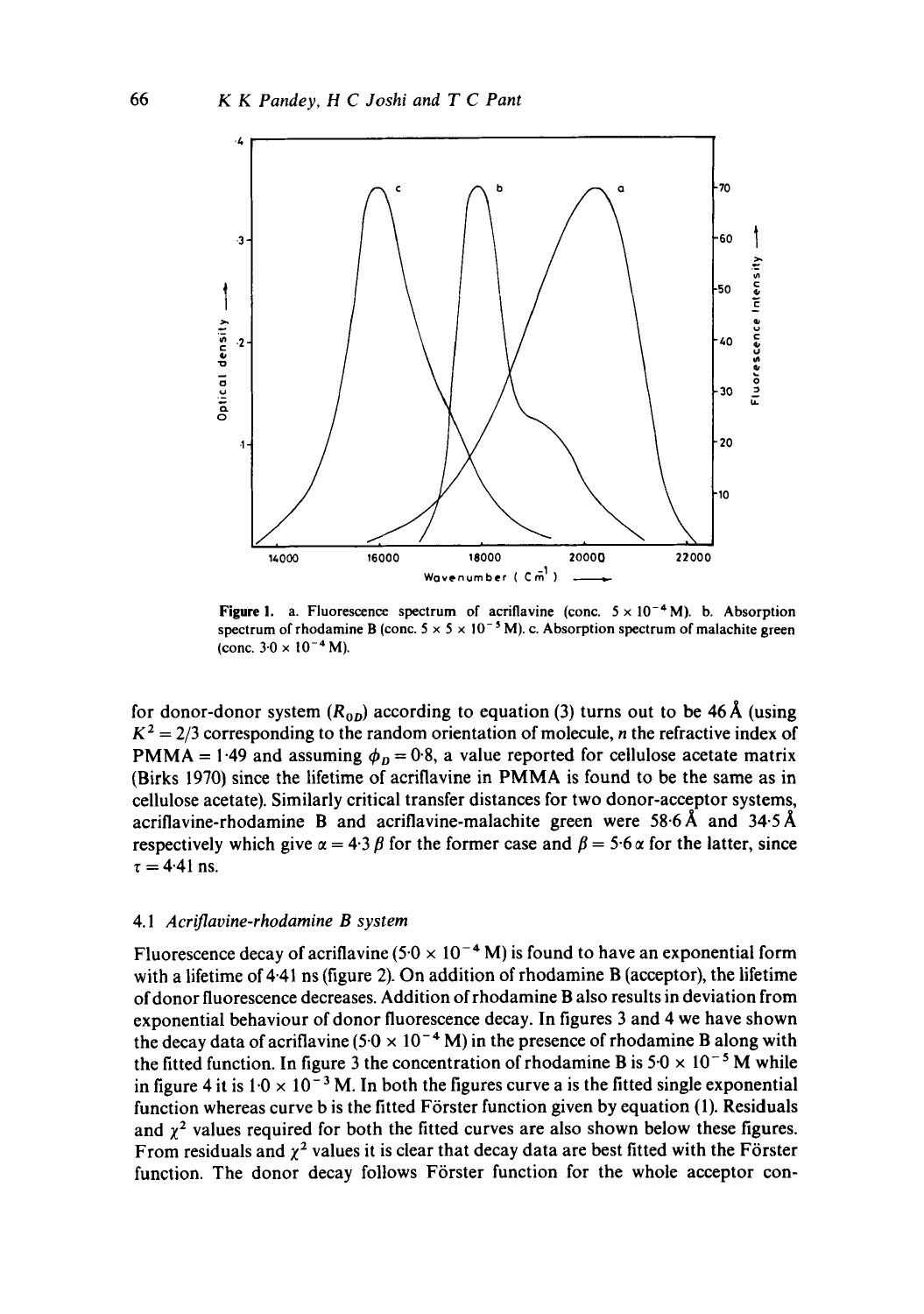

**Figure 1.** a. Fluorescence spectrum of acriflavine (conc.  $5 \times 10^{-4}$  M). b. Absorption spectrum of rhodamine B (conc.  $5 \times 5 \times 10^{-5}$  M). c. Absorption spectrum of malachite green (conc.  $3.0 \times 10^{-4}$  M).

for donor-donor system  $(R_{0D})$  according to equation (3) turns out to be 46 Å (using  $K^2 = 2/3$  corresponding to the random orientation of molecule, *n* the refractive index of PMMA = 1.49 and assuming  $\phi_p = 0.8$ , a value reported for cellulose acetate matrix (Birks 1970) since the lifetime of acriflavine in PMMA is found to be the same as in cellulose acetate). Similarly critical transfer distances for two donor-acceptor systems, acriflavine-rhodamine B and acriflavine-malachite green were  $58.6\text{\AA}$  and  $34.5\text{\AA}$ respectively which give  $\alpha = 4.3 \beta$  for the former case and  $\beta = 5.6 \alpha$  for the latter, since  $\tau = 4.41$  ns.

#### 4.1 *Aeriflavine-rhodamine B system*

Fluorescence decay of acriflavine (5.0  $\times$  10<sup>-4</sup> M) is found to have an exponential form with a lifetime of 4.41 ns (figure 2). On addition of rhodamine B (acceptor), the lifetime ofdonor fluorescence decreases. Addition ofrhodamine B also results in deviation from exponential behaviour of donor fluorescence decay. In figures 3 and 4 we have shown the decay data of acriflavine (5.0  $\times$  10<sup>-4</sup> M) in the presence of rhodamine B along with the fitted function. In figure 3 the concentration of rhodamine B is  $5.0 \times 10^{-5}$  M while in figure 4 it is  $1.0 \times 10^{-3}$  M. In both the figures curve a is the fitted single exponential function whereas curve b is the fitted Förster function given by equation (1). Residuals and  $\chi^2$  values required for both the fitted curves are also shown below these figures. From residuals and  $\chi^2$  values it is clear that decay data are best fitted with the Förster function. The donor decay follows Förster function for the whole acceptor con-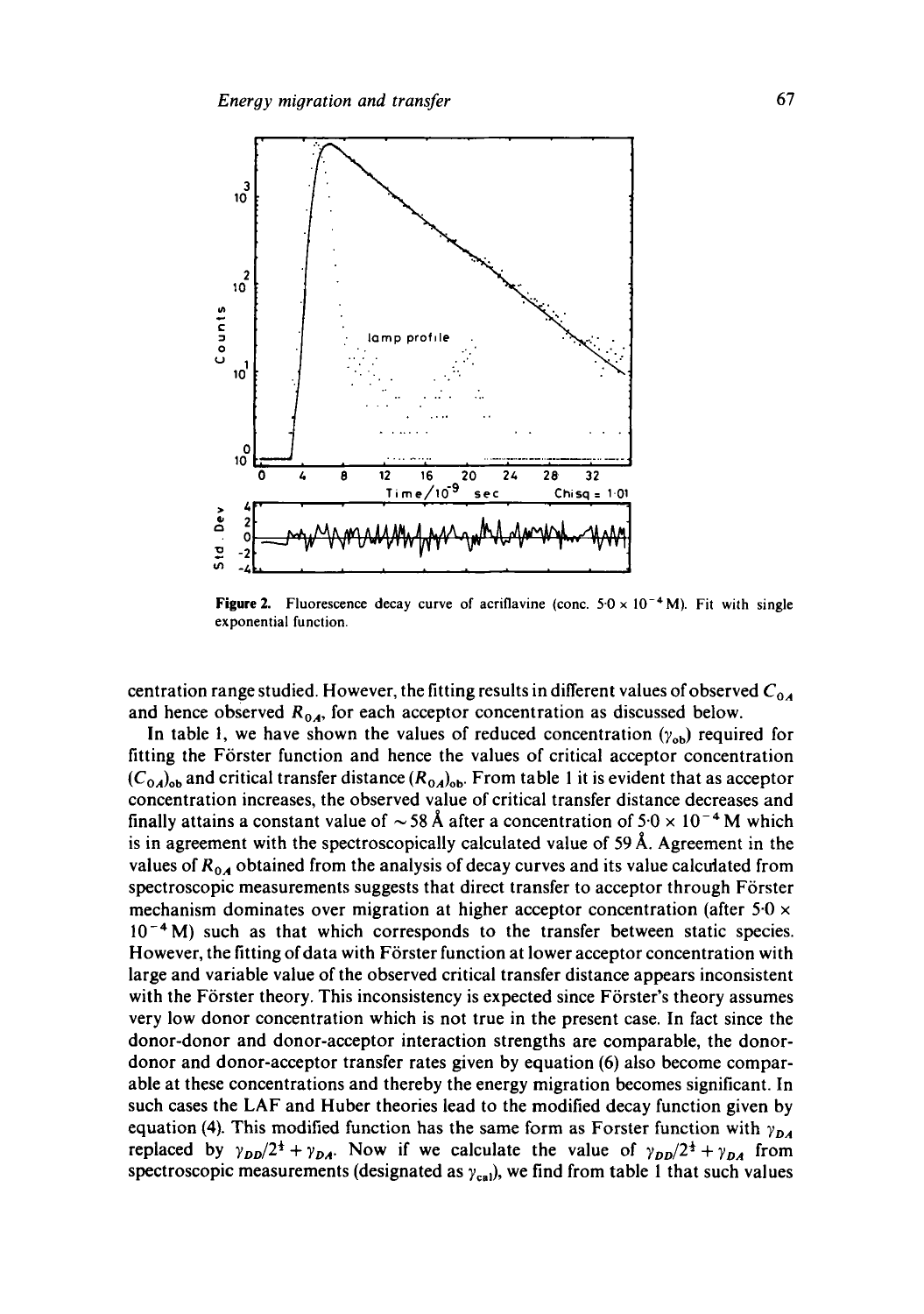

**Figure 2.** Fluorescence decay curve of acriflavine (conc.  $5.0 \times 10^{-4}$  M). Fit with single exponential function.

centration range studied. However, the fitting results in different values of observed  $C_{0A}$ and hence observed  $R_{0A}$ , for each acceptor concentration as discussed below.

In table 1, we have shown the values of reduced concentration  $(\gamma_{ob})$  required for fitting the Förster function and hence the values of critical acceptor concentration  $(C_{0A})_{ob}$  and critical transfer distance  $(R_{0A})_{ob}$ . From table 1 it is evident that as acceptor concentration increases, the observed value of critical transfer distance decreases and finally attains a constant value of  $\sim$  58 Å after a concentration of 5.0  $\times$  10<sup>-4</sup> M which is in agreement with the spectroscopically calculated value of  $59 \text{ Å}$ . Agreement in the values of  $R_{0.4}$  obtained from the analysis of decay curves and its value calculated from spectroscopic measurements suggests that direct transfer to acceptor through Förster mechanism dominates over migration at higher acceptor concentration (after  $5.0 \times$  $10^{-4}$  M) such as that which corresponds to the transfer between static species. However, the fitting of data with Förster function at lower acceptor concentration with large and variable value of the observed critical transfer distance appears inconsistent with the Förster theory. This inconsistency is expected since Förster's theory assumes very low donor concentration which is not true in the present case. In fact since the donor-donor and donor-acceptor interaction strengths are comparable, the donordonor and donor-acceptor transfer rates given by equation (6) also become comparable at these concentrations and thereby the energy migration becomes significant. In such cases the LAF and Huber theories lead to the modified decay function given by equation (4). This modified function has the same form as Forster function with  $\gamma_{DA}$ replaced by  $\gamma_{DD}/2^{\frac{1}{2}} + \gamma_{DA}$ . Now if we calculate the value of  $\gamma_{DD}/2^{\frac{1}{2}} + \gamma_{DA}$  from spectroscopic measurements (designated as  $\gamma_{\rm cal}$ ), we find from table 1 that such values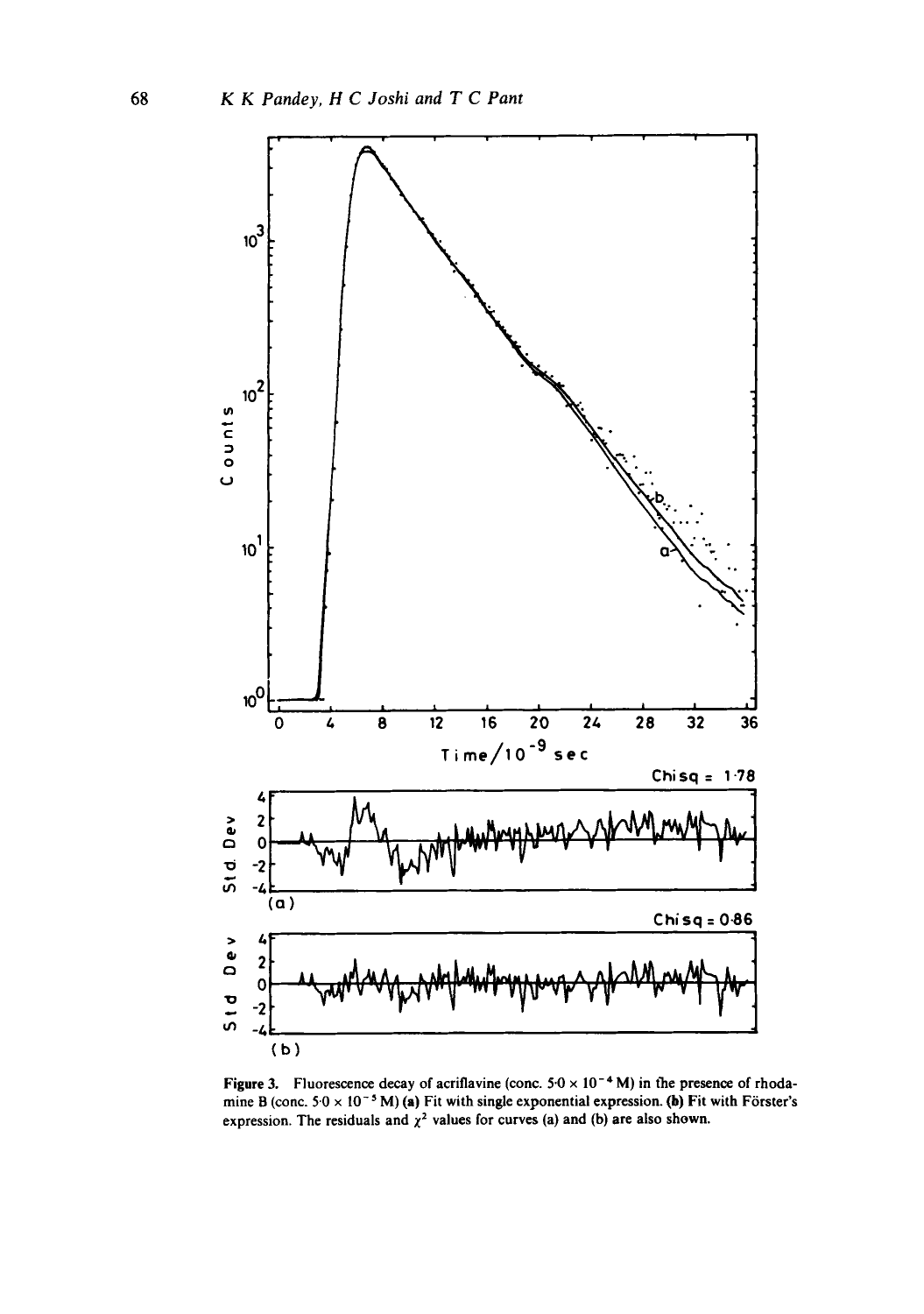

Figure 3. Fluorescence decay of acriflavine (conc.  $5.0 \times 10^{-4}$  M) in the presence of rhodamine B (conc.  $5.0 \times 10^{-5}$  M) (a) Fit with single exponential expression. (b) Fit with Förster's expression. The residuals and  $\chi^2$  values for curves (a) and (b) are also shown.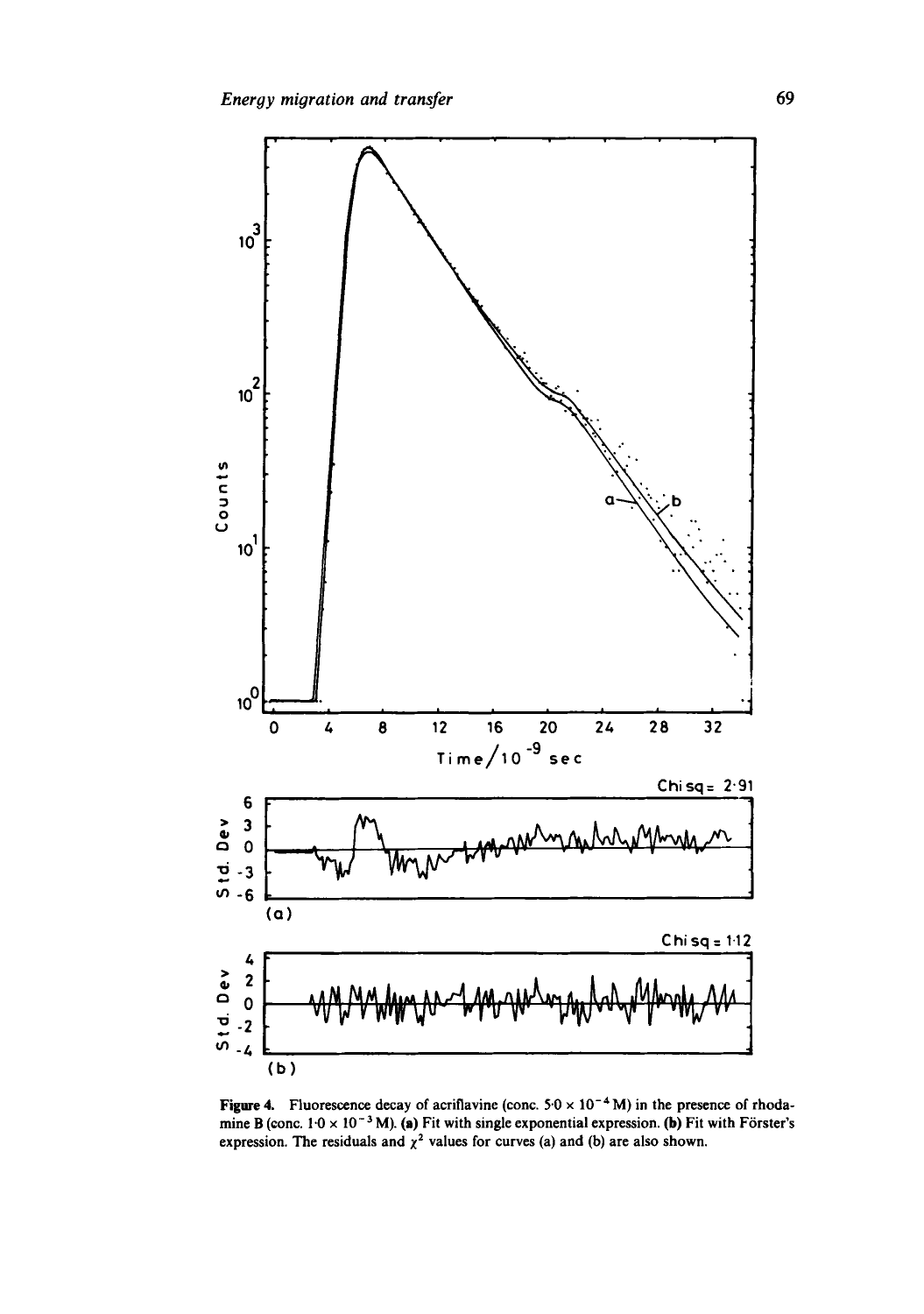

**Figure 4.** Fluorescence decay of acriflavine (conc.  $5.0 \times 10^{-4}$  M) in the presence of rhodamine B (conc.  $1·0 \times 10^{-3}$  M). (a) Fit with single exponential expression. (b) Fit with Förster's expression. The residuals and  $\chi^2$  values for curves (a) and (b) are also shown.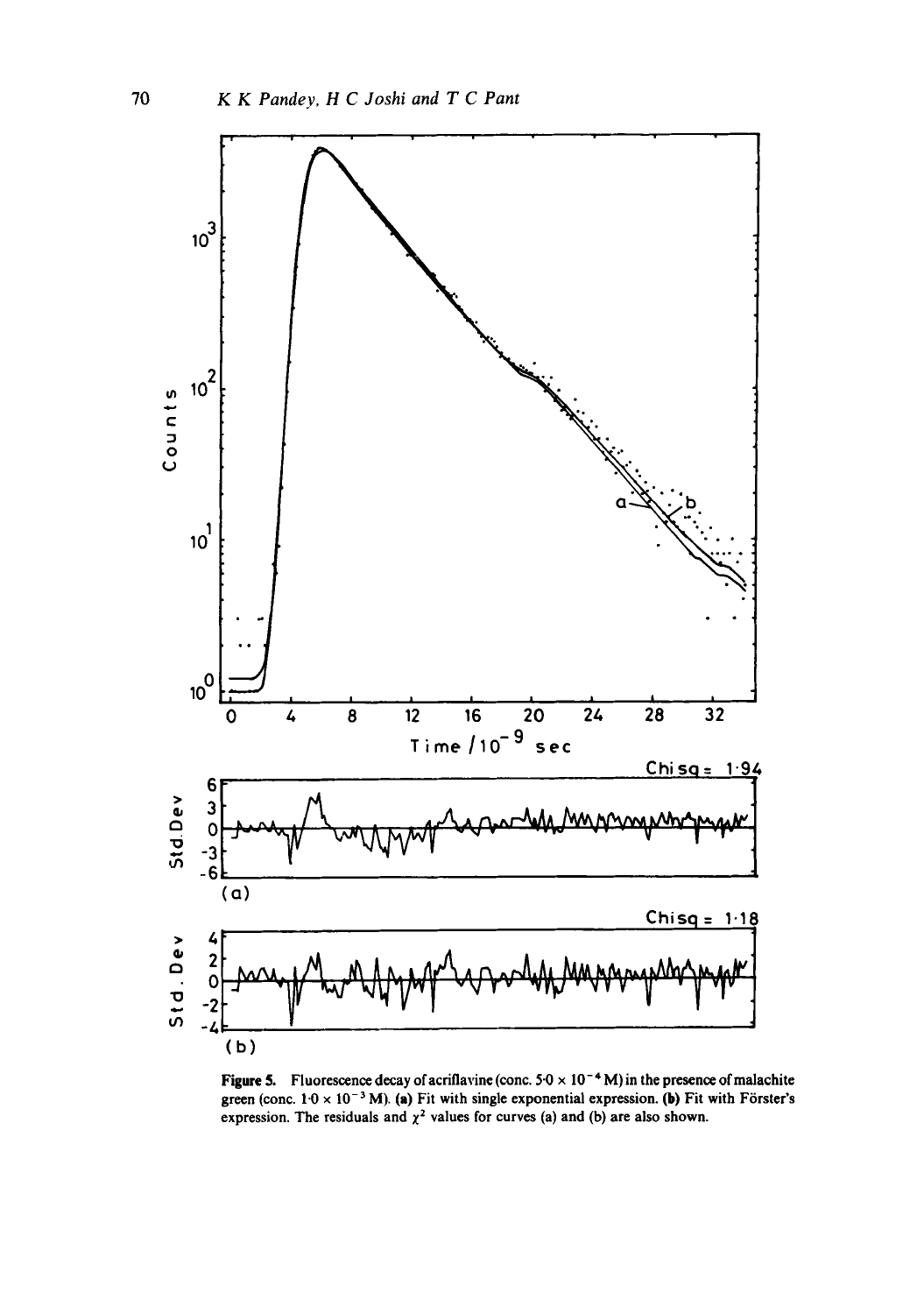

Figure 5. Fluorescence decay of acriflavine (conc.  $5.0 \times 10^{-4}$  M) in the presence of malachite green (conc.  $1.0 \times 10^{-3}$  M). (a) Fit with single exponential expression. (b) Fit with Förster's expression. The residuals and  $\chi^2$  values for curves (a) and (b) are also shown.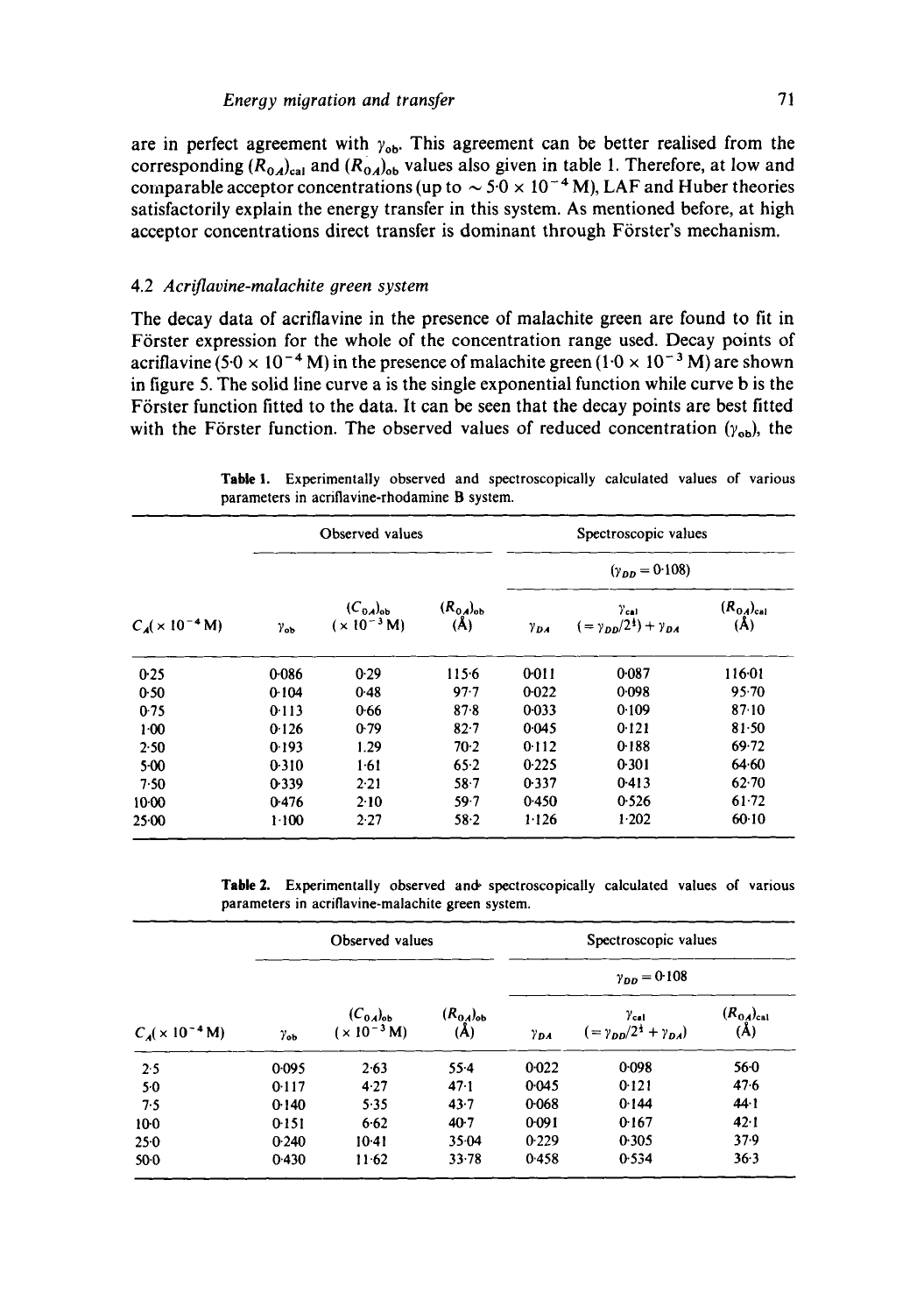are in perfect agreement with  $\gamma_{\rm ob}$ . This agreement can be better realised from the corresponding  $(R_{0A})_{ca}$  and  $(R_{0A})_{ob}$  values also given in table 1. Therefore, at low and comparable acceptor concentrations (up to  $\sim$  5.0  $\times$  10<sup>-4</sup> M), LAF and Huber theories satisfactorily explain the energy transfer in this system. As mentioned before, at high acceptor concentrations direct transfer is dominant through Förster's mechanism.

### 4.2 *Acriflavine-malachite green system*

The decay data of acriflavine in the presence of malachite green are found to fit in Förster expression for the whole of the concentration range used. Decay points of acriflavine (5.0  $\times$  10<sup>-4</sup> M) in the presence of malachite green (1.0  $\times$  10<sup>-3</sup> M) are shown in figure 5. The solid line curve a is the single exponential function while curve b is the Förster function fitted to the data. It can be seen that the decay points are best fitted with the Förster function. The observed values of reduced concentration  $(y_{\text{on}})$ , the

| $C_A (x 10^{-4} M)$ | Observed values   |                                           |                        | Spectroscopic values    |                                                         |                         |
|---------------------|-------------------|-------------------------------------------|------------------------|-------------------------|---------------------------------------------------------|-------------------------|
|                     | $\gamma_{\rm ob}$ | $(C_{0A})_{\text{ob}}$<br>$(x 10^{-3} M)$ | $(R_{0A})_{ob}$<br>(A) | $(\gamma_{DD} = 0.108)$ |                                                         |                         |
|                     |                   |                                           |                        | $y_{DA}$                | $y_{\rm cal}$<br>$( = y_{nn}/2^{\frac{1}{2}}) + y_{nn}$ | $(R_{0A})_{cal}$<br>(A) |
| 0.25                | 0.086             | 0.29                                      | 115.6                  | 0011                    | 0.087                                                   | 116.01                  |
| 0.50                | 0.104             | 0.48                                      | 97.7                   | 0.022                   | 0.098                                                   | 95.70                   |
| 0.75                | 0.113             | 0.66                                      | 87.8                   | 0.033                   | 0.109                                                   | 87.10                   |
| 1:00                | 0.126             | 0.79                                      | 82.7                   | 0.045                   | 0.121                                                   | 81.50                   |
| 2.50                | 0.193             | 1.29                                      | $70-2$                 | 0.112                   | 0.188                                                   | 69.72                   |
| $5-00$              | 0.310             | 1.61                                      | 65.2                   | 0.225                   | 0.301                                                   | 64.60                   |
| 7.50                | 0.339             | 2.21                                      | 587                    | 0.337                   | 0.413                                                   | $62 - 70$               |
| $10-00$             | 0.476             | 2.10                                      | 59.7                   | 0.450                   | 0.526                                                   | $61 - 72$               |
| $25-00$             | $1-100$           | 2.27                                      | 58.2                   | $1 - 126$               | 1.202                                                   | $60-10$                 |

Table 1. Experimentally observed and spectroscopically calculated values of various parameters in acriflavine-rhodamine B system.

**Table 2.** Experimentally observed and spectroscopically calculated values of various parameters in acriflavine-malachite green system.

| $C_A(x 10^{-4} M)$ | Observed values |                                           |                                       | Spectroscopic values  |                                                                    |                                    |  |
|--------------------|-----------------|-------------------------------------------|---------------------------------------|-----------------------|--------------------------------------------------------------------|------------------------------------|--|
|                    | $\gamma_{ab}$   | $(C_{0A})_{\text{ob}}$<br>$(x 10^{-3} M)$ | $(R_{0A})_{\text{ob}}$<br>$(\lambda)$ | $\gamma_{DD} = 0.108$ |                                                                    |                                    |  |
|                    |                 |                                           |                                       | $\gamma_{DA}$         | $\gamma_{\rm cal}$<br>$(=\gamma_{DD}/2^{\frac{1}{2}}+\gamma_{DA})$ | $(R_{0A})_{\text{cal}}$<br>$(\AA)$ |  |
| 2.5                | 0.095           | 2.63                                      | $55-4$                                | $0 - 022$             | 0.098                                                              | 560                                |  |
| 50                 | 0.117           | 4.27                                      | 47.1                                  | 0.045                 | 0.121                                                              | 47.6                               |  |
| 7.5                | 0.140           | 5.35                                      | $43 - 7$                              | 0.068                 | 0.144                                                              | 44.1                               |  |
| 10 <sub>0</sub>    | 0.151           | 6.62                                      | $40-7$                                | 0.091                 | 0.167                                                              | 42.1                               |  |
| 250                | 0.240           | $10-41$                                   | 35.04                                 | 0.229                 | 0.305                                                              | 37.9                               |  |
| $50-0$             | 0.430           | 11.62                                     | $33 - 78$                             | 0.458                 | 0.534                                                              | 36.3                               |  |